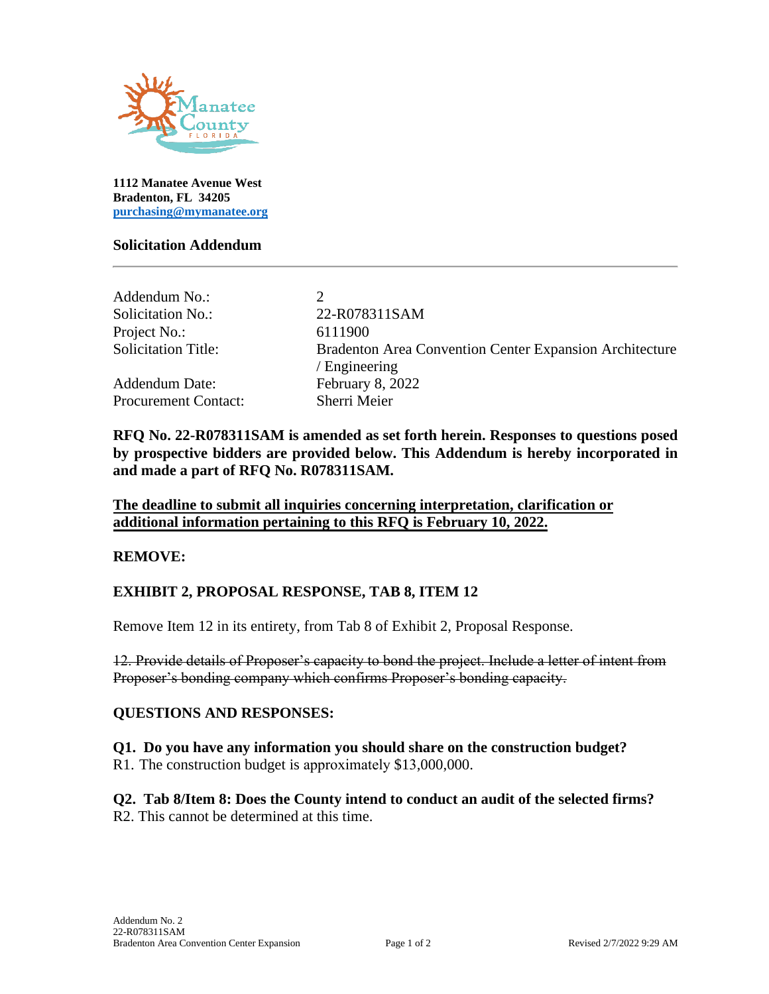

**1112 Manatee Avenue West Bradenton, FL 34205 [purchasing@mymanatee.org](mailto:purchasing@mymanatee.org)**

#### **Solicitation Addendum**

| 22-R078311SAM                                                  |
|----------------------------------------------------------------|
| 6111900                                                        |
| <b>Bradenton Area Convention Center Expansion Architecture</b> |
| / Engineering                                                  |
| February 8, 2022                                               |
| Sherri Meier                                                   |
|                                                                |

**RFQ No. 22-R078311SAM is amended as set forth herein. Responses to questions posed by prospective bidders are provided below. This Addendum is hereby incorporated in and made a part of RFQ No. R078311SAM.** 

**The deadline to submit all inquiries concerning interpretation, clarification or additional information pertaining to this RFQ is February 10, 2022.**

#### **REMOVE:**

#### **EXHIBIT 2, PROPOSAL RESPONSE, TAB 8, ITEM 12**

Remove Item 12 in its entirety, from Tab 8 of Exhibit 2, Proposal Response.

12. Provide details of Proposer's capacity to bond the project. Include a letter of intent from Proposer's bonding company which confirms Proposer's bonding capacity.

#### **QUESTIONS AND RESPONSES:**

**Q1. Do you have any information you should share on the construction budget?**  R1. The construction budget is approximately \$13,000,000.

**Q2. Tab 8/Item 8: Does the County intend to conduct an audit of the selected firms?**  R2. This cannot be determined at this time.